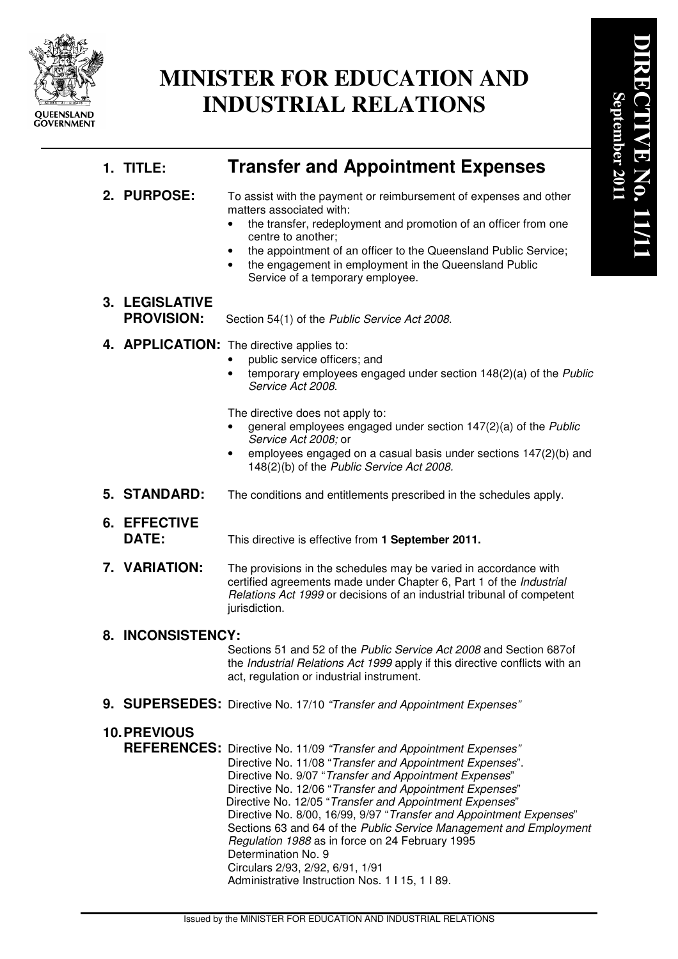

# **MINISTER FOR EDUCATION AND INDUSTRIAL RELATIONS**

## **1. TITLE: Transfer and Appointment Expenses**

**2. PURPOSE:** To assist with the payment or reimbursement of expenses and other matters associated with:

- the transfer, redeployment and promotion of an officer from one centre to another;
- the appointment of an officer to the Queensland Public Service;
- the engagement in employment in the Queensland Public Service of a temporary employee.
- **3. LEGISLATIVE PROVISION:** Section 54(1) of the Public Service Act 2008.
- 4. **APPLICATION:** The directive applies to:
	- public service officers; and
	- temporary employees engaged under section 148(2)(a) of the Public Service Act 2008.

The directive does not apply to:

- general employees engaged under section 147(2)(a) of the Public Service Act 2008; or
- employees engaged on a casual basis under sections 147(2)(b) and 148(2)(b) of the Public Service Act 2008.
- **5. STANDARD:** The conditions and entitlements prescribed in the schedules apply.
- **6. EFFECTIVE**

**DATE:** This directive is effective from **1 September 2011.**

**7. VARIATION:** The provisions in the schedules may be varied in accordance with certified agreements made under Chapter 6, Part 1 of the Industrial Relations Act 1999 or decisions of an industrial tribunal of competent jurisdiction.

## **8. INCONSISTENCY:**

 Sections 51 and 52 of the Public Service Act 2008 and Section 687of the Industrial Relations Act 1999 apply if this directive conflicts with an act, regulation or industrial instrument.

9. SUPERSEDES: Directive No. 17/10 "Transfer and Appointment Expenses"

## **10. PREVIOUS**

**REFERENCES:** Directive No. 11/09 "Transfer and Appointment Expenses" Directive No. 11/08 "Transfer and Appointment Expenses". Directive No. 9/07 "Transfer and Appointment Expenses" Directive No. 12/06 "Transfer and Appointment Expenses" Directive No. 12/05 "Transfer and Appointment Expenses" Directive No. 8/00, 16/99, 9/97 "Transfer and Appointment Expenses" Sections 63 and 64 of the Public Service Management and Employment Regulation 1988 as in force on 24 February 1995 Determination No. 9 Circulars 2/93, 2/92, 6/91, 1/91 Administrative Instruction Nos. 1 I 15, 1 I 89.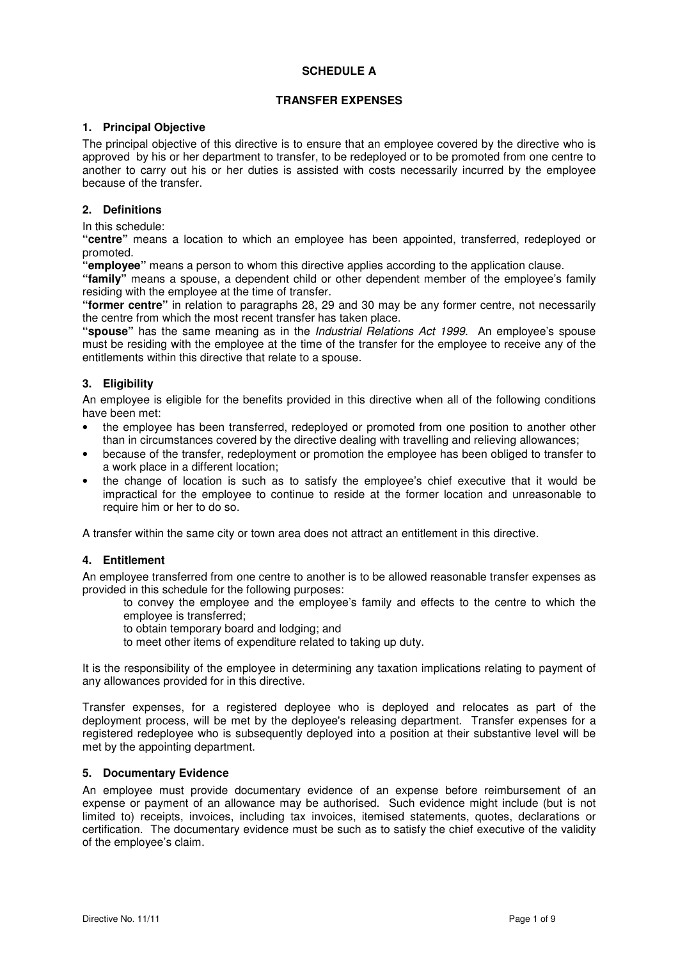#### **SCHEDULE A**

#### **TRANSFER EXPENSES**

#### **1. Principal Objective**

The principal objective of this directive is to ensure that an employee covered by the directive who is approved by his or her department to transfer, to be redeployed or to be promoted from one centre to another to carry out his or her duties is assisted with costs necessarily incurred by the employee because of the transfer.

#### **2. Definitions**

In this schedule:

**"centre"** means a location to which an employee has been appointed, transferred, redeployed or promoted.

**"employee"** means a person to whom this directive applies according to the application clause.

**"family"** means a spouse, a dependent child or other dependent member of the employee's family residing with the employee at the time of transfer.

**"former centre"** in relation to paragraphs 28, 29 and 30 may be any former centre, not necessarily the centre from which the most recent transfer has taken place.

**"spouse"** has the same meaning as in the Industrial Relations Act 1999. An employee's spouse must be residing with the employee at the time of the transfer for the employee to receive any of the entitlements within this directive that relate to a spouse.

#### **3. Eligibility**

An employee is eligible for the benefits provided in this directive when all of the following conditions have been met:

- the employee has been transferred, redeployed or promoted from one position to another other than in circumstances covered by the directive dealing with travelling and relieving allowances;
- because of the transfer, redeployment or promotion the employee has been obliged to transfer to a work place in a different location;
- the change of location is such as to satisfy the employee's chief executive that it would be impractical for the employee to continue to reside at the former location and unreasonable to require him or her to do so.

A transfer within the same city or town area does not attract an entitlement in this directive.

#### **4. Entitlement**

An employee transferred from one centre to another is to be allowed reasonable transfer expenses as provided in this schedule for the following purposes:

to convey the employee and the employee's family and effects to the centre to which the employee is transferred;

to obtain temporary board and lodging; and

to meet other items of expenditure related to taking up duty.

It is the responsibility of the employee in determining any taxation implications relating to payment of any allowances provided for in this directive.

Transfer expenses, for a registered deployee who is deployed and relocates as part of the deployment process, will be met by the deployee's releasing department. Transfer expenses for a registered redeployee who is subsequently deployed into a position at their substantive level will be met by the appointing department.

#### **5. Documentary Evidence**

An employee must provide documentary evidence of an expense before reimbursement of an expense or payment of an allowance may be authorised. Such evidence might include (but is not limited to) receipts, invoices, including tax invoices, itemised statements, quotes, declarations or certification. The documentary evidence must be such as to satisfy the chief executive of the validity of the employee's claim.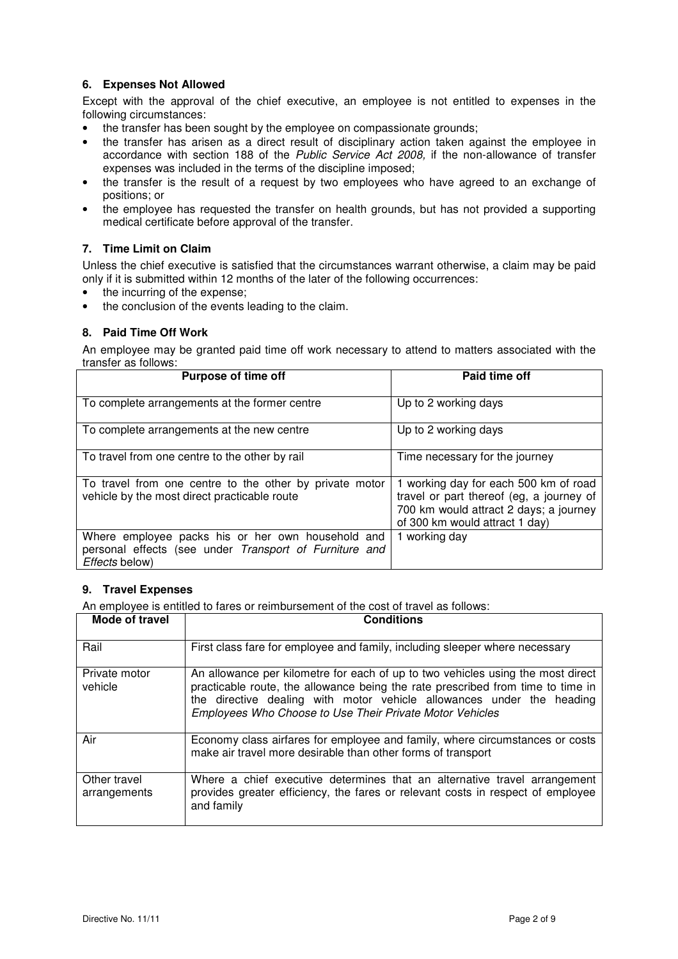#### **6. Expenses Not Allowed**

Except with the approval of the chief executive, an employee is not entitled to expenses in the following circumstances:

- the transfer has been sought by the employee on compassionate grounds;
- the transfer has arisen as a direct result of disciplinary action taken against the employee in accordance with section 188 of the Public Service Act 2008, if the non-allowance of transfer expenses was included in the terms of the discipline imposed;
- the transfer is the result of a request by two employees who have agreed to an exchange of positions; or
- the employee has requested the transfer on health grounds, but has not provided a supporting medical certificate before approval of the transfer.

#### **7. Time Limit on Claim**

Unless the chief executive is satisfied that the circumstances warrant otherwise, a claim may be paid only if it is submitted within 12 months of the later of the following occurrences:

- the incurring of the expense;
- the conclusion of the events leading to the claim.

#### **8. Paid Time Off Work**

An employee may be granted paid time off work necessary to attend to matters associated with the transfer as follows:

| <b>Purpose of time off</b>                                                                                                    | Paid time off                                                                                                                                                 |
|-------------------------------------------------------------------------------------------------------------------------------|---------------------------------------------------------------------------------------------------------------------------------------------------------------|
| To complete arrangements at the former centre                                                                                 | Up to 2 working days                                                                                                                                          |
| To complete arrangements at the new centre                                                                                    | Up to 2 working days                                                                                                                                          |
| To travel from one centre to the other by rail                                                                                | Time necessary for the journey                                                                                                                                |
| To travel from one centre to the other by private motor<br>vehicle by the most direct practicable route                       | 1 working day for each 500 km of road<br>travel or part thereof (eg, a journey of<br>700 km would attract 2 days; a journey<br>of 300 km would attract 1 day) |
| Where employee packs his or her own household and<br>personal effects (see under Transport of Furniture and<br>Effects below) | 1 working day                                                                                                                                                 |

#### **9. Travel Expenses**

An employee is entitled to fares or reimbursement of the cost of travel as follows:

| Mode of travel               | <b>Conditions</b>                                                                                                                                                                                                                                                                                       |
|------------------------------|---------------------------------------------------------------------------------------------------------------------------------------------------------------------------------------------------------------------------------------------------------------------------------------------------------|
| Rail                         | First class fare for employee and family, including sleeper where necessary                                                                                                                                                                                                                             |
| Private motor<br>vehicle     | An allowance per kilometre for each of up to two vehicles using the most direct<br>practicable route, the allowance being the rate prescribed from time to time in<br>the directive dealing with motor vehicle allowances under the heading<br>Employees Who Choose to Use Their Private Motor Vehicles |
| Air                          | Economy class airfares for employee and family, where circumstances or costs<br>make air travel more desirable than other forms of transport                                                                                                                                                            |
| Other travel<br>arrangements | Where a chief executive determines that an alternative travel arrangement<br>provides greater efficiency, the fares or relevant costs in respect of employee<br>and family                                                                                                                              |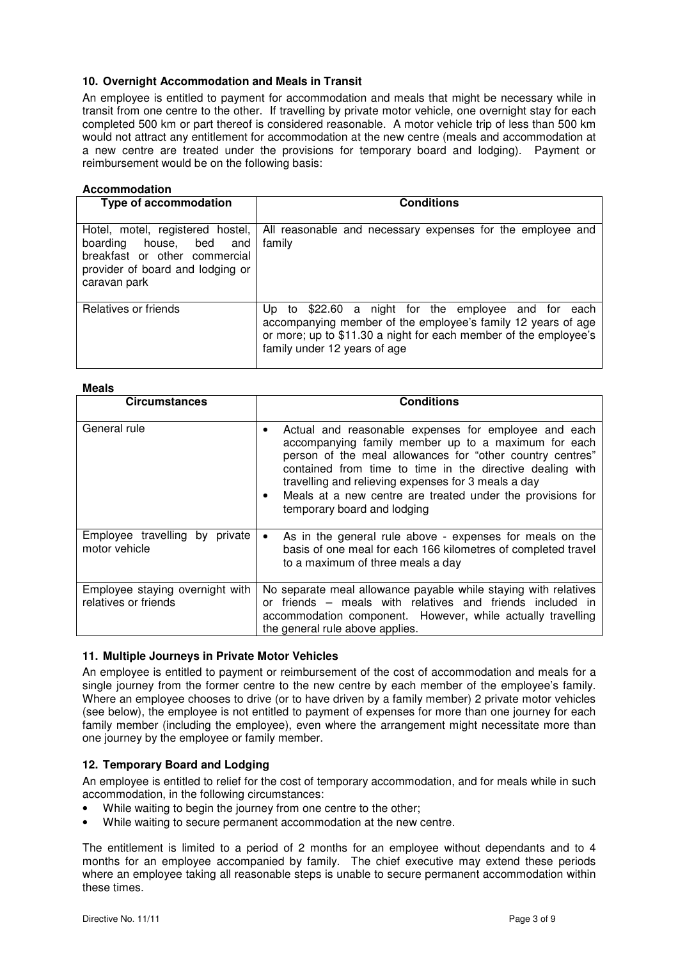#### **10. Overnight Accommodation and Meals in Transit**

An employee is entitled to payment for accommodation and meals that might be necessary while in transit from one centre to the other. If travelling by private motor vehicle, one overnight stay for each completed 500 km or part thereof is considered reasonable. A motor vehicle trip of less than 500 km would not attract any entitlement for accommodation at the new centre (meals and accommodation at a new centre are treated under the provisions for temporary board and lodging). Payment or reimbursement would be on the following basis:

#### **Accommodation**

| <b>Type of accommodation</b>                                                                                                                     | <b>Conditions</b>                                                                                                                                                                                                       |
|--------------------------------------------------------------------------------------------------------------------------------------------------|-------------------------------------------------------------------------------------------------------------------------------------------------------------------------------------------------------------------------|
| Hotel, motel, registered hostel,<br>boarding house, bed and<br>breakfast or other commercial<br>provider of board and lodging or<br>caravan park | All reasonable and necessary expenses for the employee and<br>family                                                                                                                                                    |
| Relatives or friends                                                                                                                             | Up to \$22.60 a night for the employee and for each<br>accompanying member of the employee's family 12 years of age<br>or more; up to \$11.30 a night for each member of the employee's<br>family under 12 years of age |

#### **Meals**

| MEAIS                                                   |                                                                                                                                                                                                                                                                                                                                                                                           |
|---------------------------------------------------------|-------------------------------------------------------------------------------------------------------------------------------------------------------------------------------------------------------------------------------------------------------------------------------------------------------------------------------------------------------------------------------------------|
| <b>Circumstances</b>                                    | <b>Conditions</b>                                                                                                                                                                                                                                                                                                                                                                         |
| General rule                                            | Actual and reasonable expenses for employee and each<br>accompanying family member up to a maximum for each<br>person of the meal allowances for "other country centres"<br>contained from time to time in the directive dealing with<br>travelling and relieving expenses for 3 meals a day<br>Meals at a new centre are treated under the provisions for<br>temporary board and lodging |
| Employee travelling by private<br>motor vehicle         | As in the general rule above - expenses for meals on the<br>basis of one meal for each 166 kilometres of completed travel<br>to a maximum of three meals a day                                                                                                                                                                                                                            |
| Employee staying overnight with<br>relatives or friends | No separate meal allowance payable while staying with relatives<br>or friends - meals with relatives and friends included in<br>accommodation component. However, while actually travelling<br>the general rule above applies.                                                                                                                                                            |

#### **11. Multiple Journeys in Private Motor Vehicles**

An employee is entitled to payment or reimbursement of the cost of accommodation and meals for a single journey from the former centre to the new centre by each member of the employee's family. Where an employee chooses to drive (or to have driven by a family member) 2 private motor vehicles (see below), the employee is not entitled to payment of expenses for more than one journey for each family member (including the employee), even where the arrangement might necessitate more than one journey by the employee or family member.

#### **12. Temporary Board and Lodging**

An employee is entitled to relief for the cost of temporary accommodation, and for meals while in such accommodation, in the following circumstances:

- While waiting to begin the journey from one centre to the other;
- While waiting to secure permanent accommodation at the new centre.

The entitlement is limited to a period of 2 months for an employee without dependants and to 4 months for an employee accompanied by family. The chief executive may extend these periods where an employee taking all reasonable steps is unable to secure permanent accommodation within these times.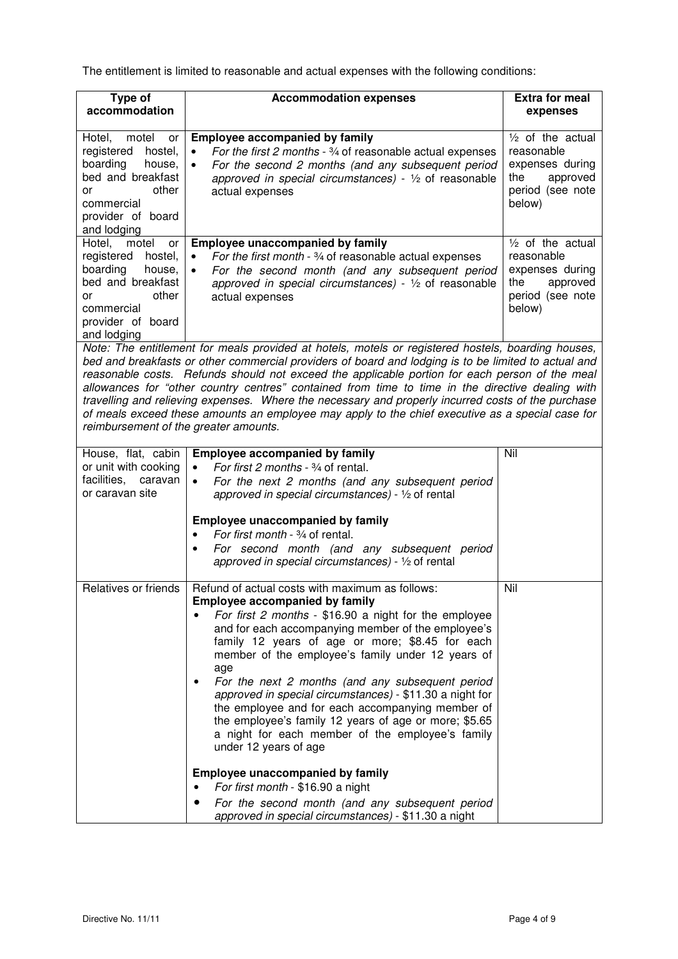The entitlement is limited to reasonable and actual expenses with the following conditions:

| Type of<br>accommodation                                                                                                                                   | <b>Accommodation expenses</b>                                                                                                                                                                                                                                                                                                                                                                                                                                                                                                                                                                                                                                                                                                                                                                                               | <b>Extra for meal</b><br>expenses                                                                     |
|------------------------------------------------------------------------------------------------------------------------------------------------------------|-----------------------------------------------------------------------------------------------------------------------------------------------------------------------------------------------------------------------------------------------------------------------------------------------------------------------------------------------------------------------------------------------------------------------------------------------------------------------------------------------------------------------------------------------------------------------------------------------------------------------------------------------------------------------------------------------------------------------------------------------------------------------------------------------------------------------------|-------------------------------------------------------------------------------------------------------|
| Hotel,<br>motel<br>or<br>registered<br>hostel,<br>boarding<br>house,<br>bed and breakfast<br>other<br>or<br>commercial<br>provider of board<br>and lodging | <b>Employee accompanied by family</b><br>For the first 2 months - 3/4 of reasonable actual expenses<br>$\bullet$<br>For the second 2 months (and any subsequent period<br>$\bullet$<br>approved in special circumstances) - $\frac{1}{2}$ of reasonable<br>actual expenses                                                                                                                                                                                                                                                                                                                                                                                                                                                                                                                                                  | $1/2$ of the actual<br>reasonable<br>expenses during<br>the<br>approved<br>period (see note<br>below) |
| Hotel,<br>motel<br>or<br>registered<br>hostel,<br>boarding<br>house,<br>bed and breakfast<br>other<br>٥r<br>commercial<br>provider of board<br>and lodging | Employee unaccompanied by family<br>For the first month - $\frac{3}{4}$ of reasonable actual expenses<br>$\bullet$<br>For the second month (and any subsequent period<br>$\bullet$<br>approved in special circumstances) - $\frac{1}{2}$ of reasonable<br>actual expenses                                                                                                                                                                                                                                                                                                                                                                                                                                                                                                                                                   | $1/2$ of the actual<br>reasonable<br>expenses during<br>the<br>approved<br>period (see note<br>below) |
| reimbursement of the greater amounts.                                                                                                                      | Note: The entitlement for meals provided at hotels, motels or registered hostels, boarding houses,<br>bed and breakfasts or other commercial providers of board and lodging is to be limited to actual and<br>reasonable costs. Refunds should not exceed the applicable portion for each person of the meal<br>allowances for "other country centres" contained from time to time in the directive dealing with<br>travelling and relieving expenses. Where the necessary and properly incurred costs of the purchase<br>of meals exceed these amounts an employee may apply to the chief executive as a special case for                                                                                                                                                                                                  |                                                                                                       |
| House, flat, cabin<br>or unit with cooking<br>facilities,<br>caravan<br>or caravan site                                                                    | <b>Employee accompanied by family</b><br>For first 2 months - 3/4 of rental.<br>$\bullet$<br>For the next 2 months (and any subsequent period<br>$\bullet$<br>approved in special circumstances) - 1/2 of rental<br><b>Employee unaccompanied by family</b><br>For first month - 3/4 of rental.<br>For second month (and any subsequent period<br>approved in special circumstances) - $\frac{1}{2}$ of rental                                                                                                                                                                                                                                                                                                                                                                                                              | Nil                                                                                                   |
| Relatives or friends                                                                                                                                       | Refund of actual costs with maximum as follows:<br><b>Employee accompanied by family</b><br>For first 2 months - \$16.90 a night for the employee<br>and for each accompanying member of the employee's<br>family 12 years of age or more; \$8.45 for each<br>member of the employee's family under 12 years of<br>age<br>For the next 2 months (and any subsequent period<br>approved in special circumstances) - \$11.30 a night for<br>the employee and for each accompanying member of<br>the employee's family 12 years of age or more; \$5.65<br>a night for each member of the employee's family<br>under 12 years of age<br><b>Employee unaccompanied by family</b><br>For first month - \$16.90 a night<br>For the second month (and any subsequent period<br>approved in special circumstances) - \$11.30 a night | Nil                                                                                                   |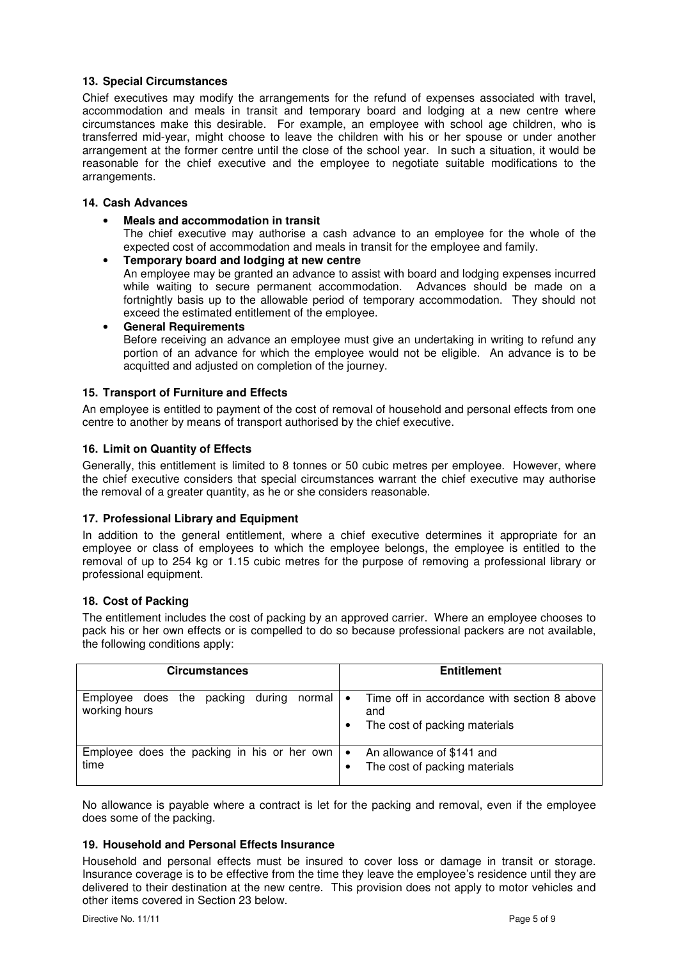#### **13. Special Circumstances**

Chief executives may modify the arrangements for the refund of expenses associated with travel, accommodation and meals in transit and temporary board and lodging at a new centre where circumstances make this desirable. For example, an employee with school age children, who is transferred mid-year, might choose to leave the children with his or her spouse or under another arrangement at the former centre until the close of the school year. In such a situation, it would be reasonable for the chief executive and the employee to negotiate suitable modifications to the arrangements.

#### **14. Cash Advances**

• **Meals and accommodation in transit** 

The chief executive may authorise a cash advance to an employee for the whole of the expected cost of accommodation and meals in transit for the employee and family.

• **Temporary board and lodging at new centre**  An employee may be granted an advance to assist with board and lodging expenses incurred while waiting to secure permanent accommodation. Advances should be made on a fortnightly basis up to the allowable period of temporary accommodation. They should not exceed the estimated entitlement of the employee.

• **General Requirements**  Before receiving an advance an employee must give an undertaking in writing to refund any portion of an advance for which the employee would not be eligible. An advance is to be acquitted and adjusted on completion of the journey.

#### **15. Transport of Furniture and Effects**

An employee is entitled to payment of the cost of removal of household and personal effects from one centre to another by means of transport authorised by the chief executive.

#### **16. Limit on Quantity of Effects**

Generally, this entitlement is limited to 8 tonnes or 50 cubic metres per employee. However, where the chief executive considers that special circumstances warrant the chief executive may authorise the removal of a greater quantity, as he or she considers reasonable.

#### **17. Professional Library and Equipment**

In addition to the general entitlement, where a chief executive determines it appropriate for an employee or class of employees to which the employee belongs, the employee is entitled to the removal of up to 254 kg or 1.15 cubic metres for the purpose of removing a professional library or professional equipment.

#### **18. Cost of Packing**

The entitlement includes the cost of packing by an approved carrier. Where an employee chooses to pack his or her own effects or is compelled to do so because professional packers are not available, the following conditions apply:

| <b>Circumstances</b>                                              | <b>Entitlement</b>                                                                                            |  |
|-------------------------------------------------------------------|---------------------------------------------------------------------------------------------------------------|--|
| during<br>packing<br>Employee does the<br>normal<br>working hours | Time off in accordance with section 8 above<br>$\bullet$<br>and<br>The cost of packing materials<br>$\bullet$ |  |
| Employee does the packing in his or her own<br>time               | An allowance of \$141 and<br>$\bullet$<br>The cost of packing materials<br>$\bullet$                          |  |

No allowance is payable where a contract is let for the packing and removal, even if the employee does some of the packing.

#### **19. Household and Personal Effects Insurance**

Household and personal effects must be insured to cover loss or damage in transit or storage. Insurance coverage is to be effective from the time they leave the employee's residence until they are delivered to their destination at the new centre. This provision does not apply to motor vehicles and other items covered in Section 23 below.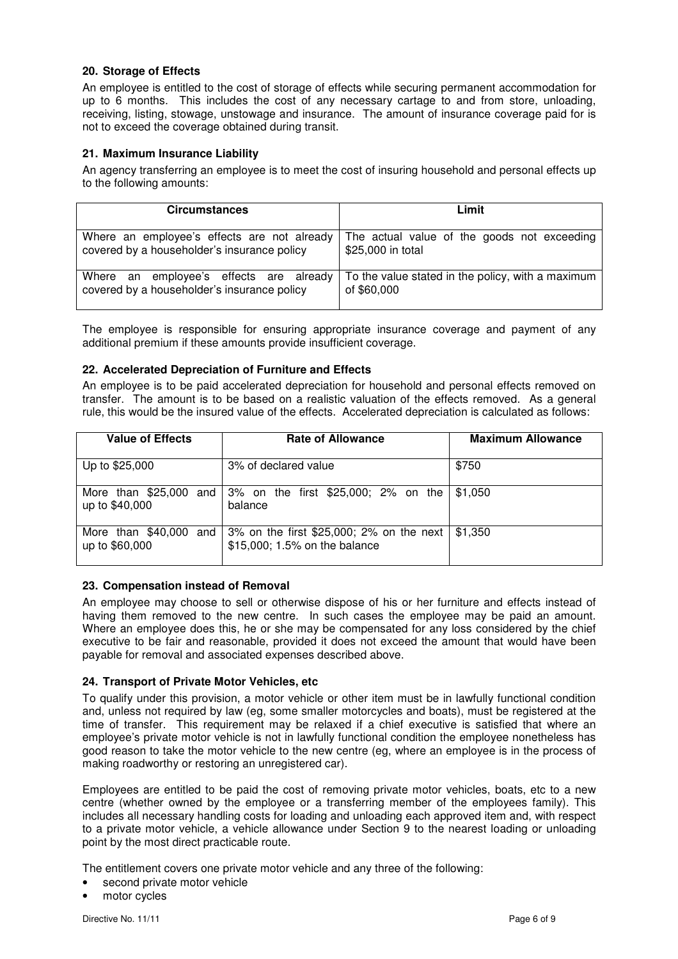#### **20. Storage of Effects**

An employee is entitled to the cost of storage of effects while securing permanent accommodation for up to 6 months. This includes the cost of any necessary cartage to and from store, unloading, receiving, listing, stowage, unstowage and insurance. The amount of insurance coverage paid for is not to exceed the coverage obtained during transit.

#### **21. Maximum Insurance Liability**

An agency transferring an employee is to meet the cost of insuring household and personal effects up to the following amounts:

| <b>Circumstances</b>                        | Limit                                             |
|---------------------------------------------|---------------------------------------------------|
| Where an employee's effects are not already | The actual value of the goods not exceeding       |
| covered by a householder's insurance policy | \$25,000 in total                                 |
| Where an employee's effects are already     | To the value stated in the policy, with a maximum |
| covered by a householder's insurance policy | of \$60,000                                       |

The employee is responsible for ensuring appropriate insurance coverage and payment of any additional premium if these amounts provide insufficient coverage.

#### **22. Accelerated Depreciation of Furniture and Effects**

An employee is to be paid accelerated depreciation for household and personal effects removed on transfer. The amount is to be based on a realistic valuation of the effects removed. As a general rule, this would be the insured value of the effects. Accelerated depreciation is calculated as follows:

| <b>Value of Effects</b>                      | <b>Rate of Allowance</b>                                                  | <b>Maximum Allowance</b> |
|----------------------------------------------|---------------------------------------------------------------------------|--------------------------|
| Up to \$25,000                               | 3% of declared value                                                      | \$750                    |
| More than \$25,000 and<br>up to \$40,000     | 3% on the first \$25,000; 2% on the<br>balance                            | \$1,050                  |
| More than $$40,000$<br>and<br>up to \$60,000 | 3% on the first \$25,000; 2% on the next<br>\$15,000; 1.5% on the balance | \$1,350                  |

#### **23. Compensation instead of Removal**

An employee may choose to sell or otherwise dispose of his or her furniture and effects instead of having them removed to the new centre. In such cases the employee may be paid an amount. Where an employee does this, he or she may be compensated for any loss considered by the chief executive to be fair and reasonable, provided it does not exceed the amount that would have been payable for removal and associated expenses described above.

#### **24. Transport of Private Motor Vehicles, etc**

To qualify under this provision, a motor vehicle or other item must be in lawfully functional condition and, unless not required by law (eg, some smaller motorcycles and boats), must be registered at the time of transfer. This requirement may be relaxed if a chief executive is satisfied that where an employee's private motor vehicle is not in lawfully functional condition the employee nonetheless has good reason to take the motor vehicle to the new centre (eg, where an employee is in the process of making roadworthy or restoring an unregistered car).

Employees are entitled to be paid the cost of removing private motor vehicles, boats, etc to a new centre (whether owned by the employee or a transferring member of the employees family). This includes all necessary handling costs for loading and unloading each approved item and, with respect to a private motor vehicle, a vehicle allowance under Section 9 to the nearest loading or unloading point by the most direct practicable route.

The entitlement covers one private motor vehicle and any three of the following:

- second private motor vehicle
- motor cycles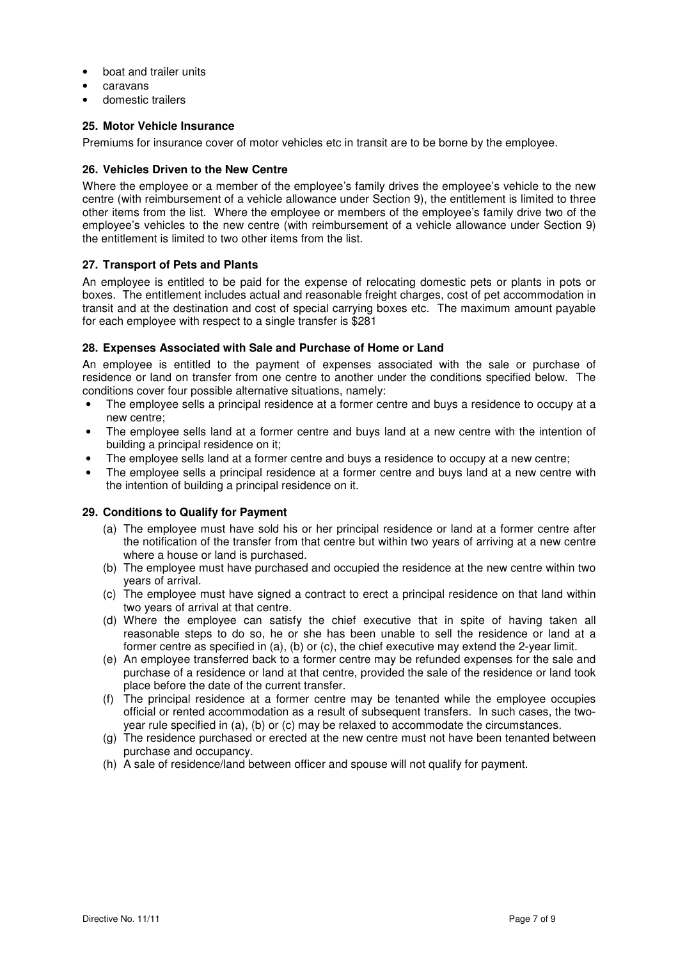- boat and trailer units
- caravans
- domestic trailers

#### **25. Motor Vehicle Insurance**

Premiums for insurance cover of motor vehicles etc in transit are to be borne by the employee.

#### **26. Vehicles Driven to the New Centre**

Where the employee or a member of the employee's family drives the employee's vehicle to the new centre (with reimbursement of a vehicle allowance under Section 9), the entitlement is limited to three other items from the list. Where the employee or members of the employee's family drive two of the employee's vehicles to the new centre (with reimbursement of a vehicle allowance under Section 9) the entitlement is limited to two other items from the list.

#### **27. Transport of Pets and Plants**

An employee is entitled to be paid for the expense of relocating domestic pets or plants in pots or boxes. The entitlement includes actual and reasonable freight charges, cost of pet accommodation in transit and at the destination and cost of special carrying boxes etc. The maximum amount payable for each employee with respect to a single transfer is \$281

#### **28. Expenses Associated with Sale and Purchase of Home or Land**

An employee is entitled to the payment of expenses associated with the sale or purchase of residence or land on transfer from one centre to another under the conditions specified below. The conditions cover four possible alternative situations, namely:

- The employee sells a principal residence at a former centre and buys a residence to occupy at a new centre;
- The employee sells land at a former centre and buys land at a new centre with the intention of building a principal residence on it;
- The employee sells land at a former centre and buys a residence to occupy at a new centre;
- The employee sells a principal residence at a former centre and buys land at a new centre with the intention of building a principal residence on it.

#### **29. Conditions to Qualify for Payment**

- (a) The employee must have sold his or her principal residence or land at a former centre after the notification of the transfer from that centre but within two years of arriving at a new centre where a house or land is purchased.
- (b) The employee must have purchased and occupied the residence at the new centre within two years of arrival.
- (c) The employee must have signed a contract to erect a principal residence on that land within two years of arrival at that centre.
- (d) Where the employee can satisfy the chief executive that in spite of having taken all reasonable steps to do so, he or she has been unable to sell the residence or land at a former centre as specified in (a), (b) or (c), the chief executive may extend the 2-year limit.
- (e) An employee transferred back to a former centre may be refunded expenses for the sale and purchase of a residence or land at that centre, provided the sale of the residence or land took place before the date of the current transfer.
- (f) The principal residence at a former centre may be tenanted while the employee occupies official or rented accommodation as a result of subsequent transfers. In such cases, the twoyear rule specified in (a), (b) or (c) may be relaxed to accommodate the circumstances.
- (g) The residence purchased or erected at the new centre must not have been tenanted between purchase and occupancy.
- (h) A sale of residence/land between officer and spouse will not qualify for payment.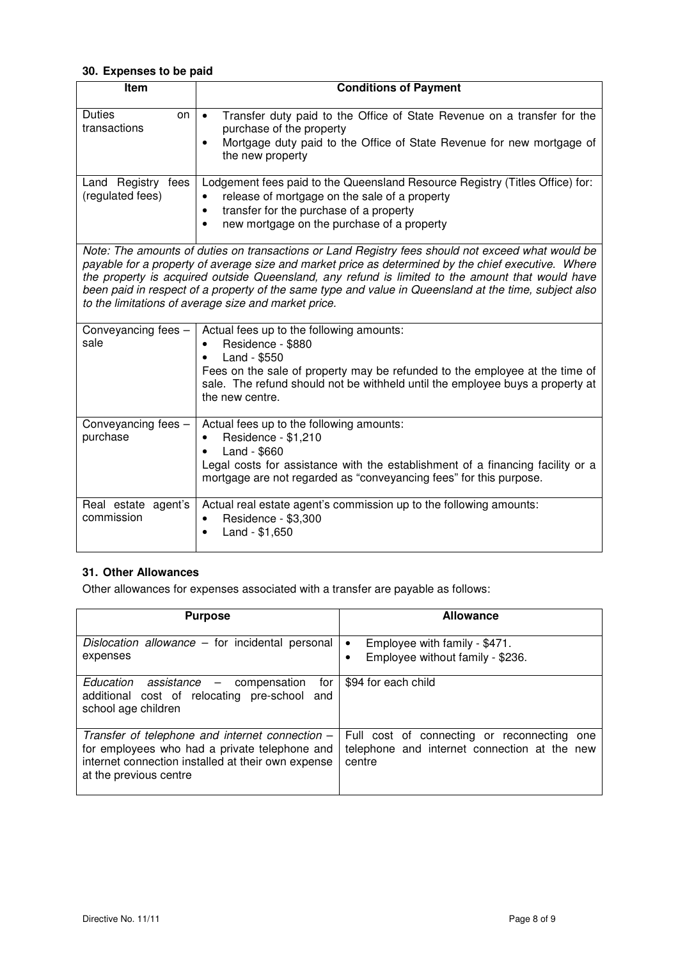#### **30. Expenses to be paid**

| Item                                   | <b>Conditions of Payment</b>                                                                                                                                                                                                                                                                                                                                                                                                                                                  |
|----------------------------------------|-------------------------------------------------------------------------------------------------------------------------------------------------------------------------------------------------------------------------------------------------------------------------------------------------------------------------------------------------------------------------------------------------------------------------------------------------------------------------------|
| <b>Duties</b><br>on<br>transactions    | Transfer duty paid to the Office of State Revenue on a transfer for the<br>$\bullet$<br>purchase of the property<br>Mortgage duty paid to the Office of State Revenue for new mortgage of<br>$\bullet$<br>the new property                                                                                                                                                                                                                                                    |
| Land Registry fees<br>(regulated fees) | Lodgement fees paid to the Queensland Resource Registry (Titles Office) for:<br>release of mortgage on the sale of a property<br>٠<br>transfer for the purchase of a property<br>$\bullet$<br>new mortgage on the purchase of a property<br>$\bullet$                                                                                                                                                                                                                         |
|                                        | Note: The amounts of duties on transactions or Land Registry fees should not exceed what would be<br>payable for a property of average size and market price as determined by the chief executive. Where<br>the property is acquired outside Queensland, any refund is limited to the amount that would have<br>been paid in respect of a property of the same type and value in Queensland at the time, subject also<br>to the limitations of average size and market price. |
| Conveyancing fees -<br>sale            | Actual fees up to the following amounts:<br>Residence - \$880<br>Land - \$550<br>Fees on the sale of property may be refunded to the employee at the time of<br>sale. The refund should not be withheld until the employee buys a property at<br>the new centre.                                                                                                                                                                                                              |
| Conveyancing fees -<br>purchase        | Actual fees up to the following amounts:<br>Residence - \$1,210<br>Land - \$660<br>Legal costs for assistance with the establishment of a financing facility or a<br>mortgage are not regarded as "conveyancing fees" for this purpose.                                                                                                                                                                                                                                       |
| Real estate agent's<br>commission      | Actual real estate agent's commission up to the following amounts:<br>Residence - \$3,300<br>$\bullet$<br>Land - \$1,650                                                                                                                                                                                                                                                                                                                                                      |

## **31. Other Allowances**

Other allowances for expenses associated with a transfer are payable as follows:

| <b>Purpose</b>                                                                                                                                                                   | <b>Allowance</b>                                                                                         |
|----------------------------------------------------------------------------------------------------------------------------------------------------------------------------------|----------------------------------------------------------------------------------------------------------|
| Dislocation allowance – for incidental personal<br>expenses                                                                                                                      | Employee with family - \$471.<br>$\bullet$<br>Employee without family - \$236.                           |
| $Education$ assistance $-$ compensation<br>for I<br>additional cost of relocating pre-school and<br>school age children                                                          | \$94 for each child                                                                                      |
| Transfer of telephone and internet connection -<br>for employees who had a private telephone and<br>internet connection installed at their own expense<br>at the previous centre | Full cost of connecting or reconnecting<br>one<br>telephone and internet connection at the new<br>centre |